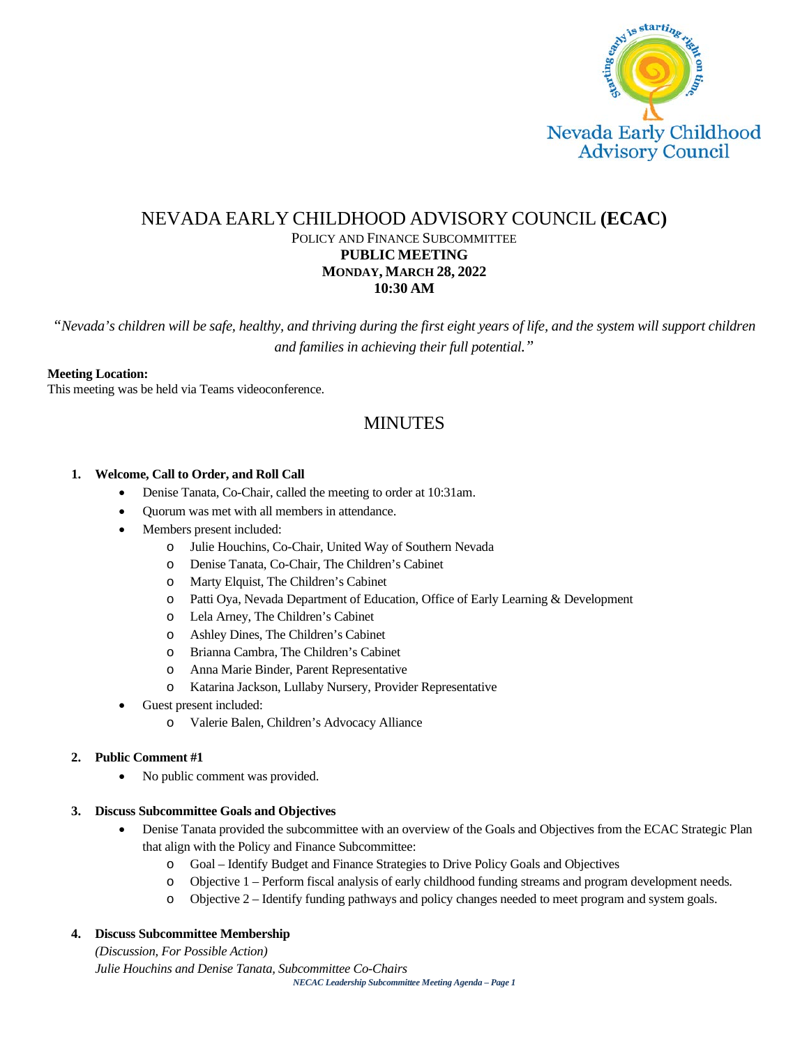

# NEVADA EARLY CHILDHOOD ADVISORY COUNCIL **(ECAC)** POLICY AND FINANCE SUBCOMMITTEE **PUBLIC MEETING MONDAY, MARCH 28, 2022 10:30 AM**

*"Nevada's children will be safe, healthy, and thriving during the first eight years of life, and the system will support children and families in achieving their full potential."*

#### **Meeting Location:**

This meeting was be held via Teams videoconference.

# **MINUTES**

#### **1. Welcome, Call to Order, and Roll Call**

- Denise Tanata, Co-Chair, called the meeting to order at 10:31am.
- Quorum was met with all members in attendance.
- Members present included:
	- o Julie Houchins, Co-Chair, United Way of Southern Nevada
	- o Denise Tanata, Co-Chair, The Children's Cabinet
	- o Marty Elquist, The Children's Cabinet
	- o Patti Oya, Nevada Department of Education, Office of Early Learning & Development
	- o Lela Arney, The Children's Cabinet
	- o Ashley Dines, The Children's Cabinet
	- o Brianna Cambra, The Children's Cabinet
	- o Anna Marie Binder, Parent Representative
	- o Katarina Jackson, Lullaby Nursery, Provider Representative
- Guest present included:
	- o Valerie Balen, Children's Advocacy Alliance

#### **2. Public Comment #1**

• No public comment was provided.

#### **3. Discuss Subcommittee Goals and Objectives**

- Denise Tanata provided the subcommittee with an overview of the Goals and Objectives from the ECAC Strategic Plan that align with the Policy and Finance Subcommittee:
	- o Goal Identify Budget and Finance Strategies to Drive Policy Goals and Objectives
	- o Objective 1 Perform fiscal analysis of early childhood funding streams and program development needs.
	- o Objective 2 Identify funding pathways and policy changes needed to meet program and system goals.

# **4. Discuss Subcommittee Membership**

*(Discussion, For Possible Action)*

*NECAC Leadership Subcommittee Meeting Agenda – Page 1 Julie Houchins and Denise Tanata, Subcommittee Co-Chairs*